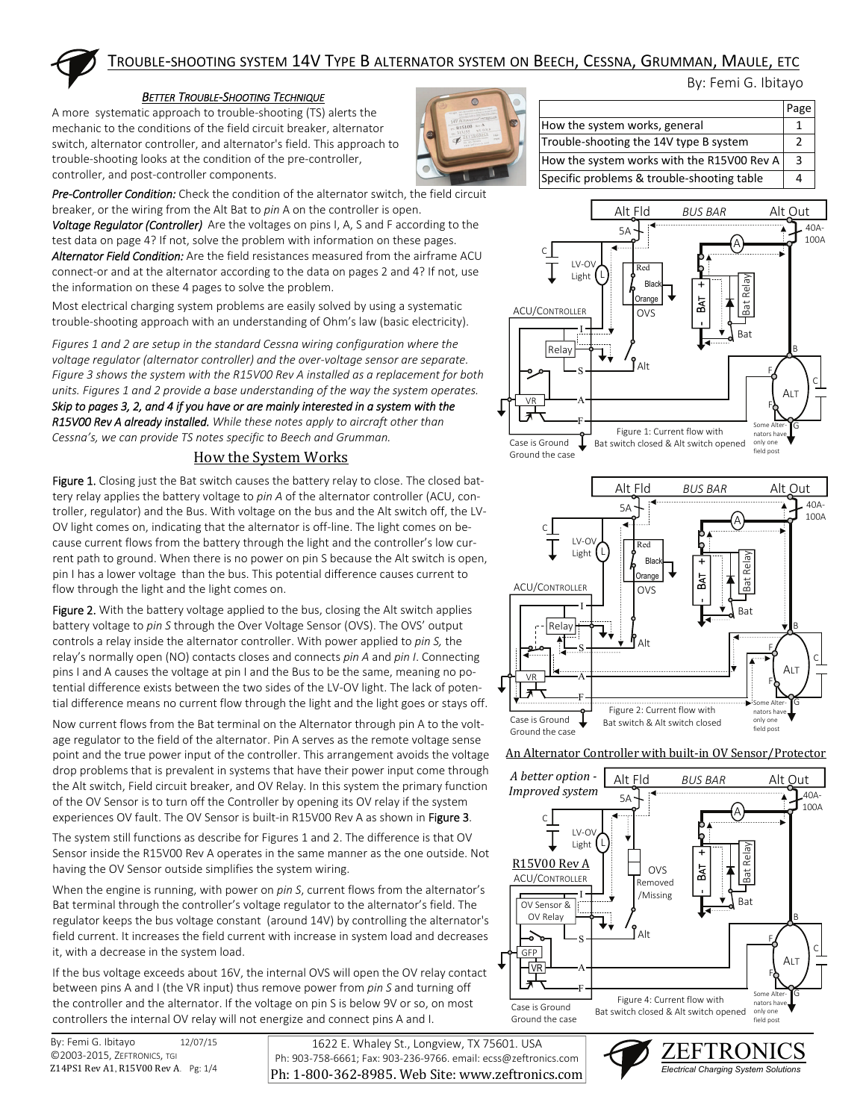

## TROUBLE‐SHOOTING SYSTEM 14V TYPE B ALTERNATOR SYSTEM ON BEECH, CESSNA, GRUMMAN, MAULE, ETC

#### *BETTER TROUBLE‐SHOOTING TECHNIQUE*

A more systematic approach to trouble‐shooting (TS) alerts the mechanic to the conditions of the field circuit breaker, alternator switch, alternator controller, and alternator's field. This approach to trouble‐shooting looks at the condition of the pre‐controller, controller, and post‐controller components.



*Pre‐Controller Condition:* Check the condition of the alternator switch, the field circuit breaker, or the wiring from the Alt Bat to *pin* A on the controller is open.

*Voltage Regulator (Controller)*  Are the voltages on pins I, A, S and F according to the test data on page 4? If not, solve the problem with information on these pages. *Alternator Field Condition:* Are the field resistances measured from the airframe ACU connect‐or and at the alternator according to the data on pages 2 and 4? If not, use the information on these 4 pages to solve the problem.

Most electrical charging system problems are easily solved by using a systematic trouble‐shooting approach with an understanding of Ohm's law (basic electricity).

*Figures 1 and 2 are setup in the standard Cessna wiring configuration where the voltage regulator (alternator controller) and the over‐voltage sensor are separate. Figure 3 shows the system with the R15V00 Rev A installed as a replacement for both units. Figures 1 and 2 provide a base understanding of the way the system operates. Skip to pages 3, 2, and 4 if you have or are mainly interested in a system with the R15V00 Rev A already installed. While these notes apply to aircraft other than*  Cessna's, we can provide TS notes specific to Beech and Grumman.

### How the System Works

Figure 1. Closing just the Bat switch causes the battery relay to close. The closed battery relay applies the battery voltage to *pin A* of the alternator controller (ACU, con‐ troller, regulator) and the Bus. With voltage on the bus and the Alt switch off, the LV‐ OV light comes on, indicating that the alternator is off-line. The light comes on because current flows from the battery through the light and the controller's low cur‐ rent path to ground. When there is no power on pin S because the Alt switch is open, pin I has a lower voltage than the bus. This potential difference causes current to flow through the light and the light comes on.

Figure 2. With the battery voltage applied to the bus, closing the Alt switch applies battery voltage to *pin S* through the Over Voltage Sensor (OVS). The OVS' output controls a relay inside the alternator controller. With power applied to *pin S,* the relay's normally open (NO) contacts closes and connects *pin A* and *pin I*. Connecting pins I and A causes the voltage at pin I and the Bus to be the same, meaning no po‐ tential difference exists between the two sides of the LV‐OV light. The lack of poten‐ tial difference means no current flow through the light and the light goes or stays off.

Now current flows from the Bat terminal on the Alternator through pin A to the volt‐ age regulator to the field of the alternator. Pin A serves as the remote voltage sense point and the true power input of the controller. This arrangement avoids the voltage drop problems that is prevalent in systems that have their power input come through the Alt switch, Field circuit breaker, and OV Relay. In this system the primary function of the OV Sensor is to turn off the Controller by opening its OV relay if the system experiences OV fault. The OV Sensor is built-in R15V00 Rev A as shown in Figure 3.

The system still functions as describe for Figures 1 and 2. The difference is that OV Sensor inside the R15V00 Rev A operates in the same manner as the one outside. Not having the OV Sensor outside simplifies the system wiring.

When the engine is running, with power on *pin S*, current flows from the alternator's Bat terminal through the controller's voltage regulator to the alternator's field. The regulator keeps the bus voltage constant (around 14V) by controlling the alternator's field current. It increases the field current with increase in system load and decreases it, with a decrease in the system load.

If the bus voltage exceeds about 16V, the internal OVS will open the OV relay contact between pins A and I (the VR input) thus remove power from *pin S* and turning off the controller and the alternator. If the voltage on pin S is below 9V or so, on most controllers the internal OV relay will not energize and connect pins A and I.

1622 E. Whaley St., Longview, TX 75601. USA Ph: 903‐758‐6661; Fax: 903‐236‐9766. email: ecss@zeftronics.com Ph: 1-800-362-8985. Web Site: www.zeftronics.com

|                                            | Page          |
|--------------------------------------------|---------------|
| How the system works, general              |               |
| Trouble-shooting the 14V type B system     | $\mathcal{P}$ |
| How the system works with the R15V00 Rev A | 3             |
| Specific problems & trouble-shooting table |               |

By: Femi G. Ibitayo





#### An Alternator Controller with built-in OV Sensor/Protector



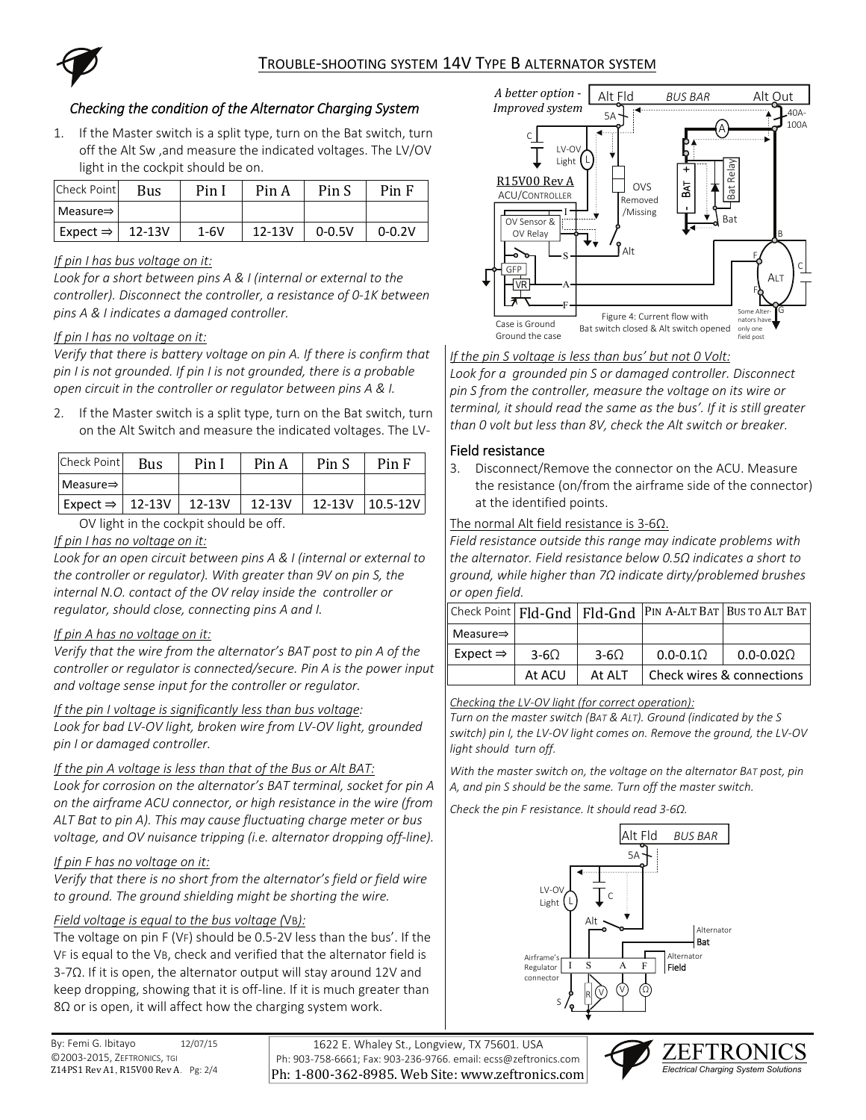

## *Checking the condition of the Alternator Charging System*

1. If the Master switch is a split type, turn on the Bat switch, turn off the Alt Sw ,and measure the indicated voltages. The LV/OV light in the cockpit should be on.

| Check Point           | Bus        | Pin 1  | Pin A      | Pin S      | Pin F      |
|-----------------------|------------|--------|------------|------------|------------|
| $Measure \Rightarrow$ |            |        |            |            |            |
| Expect $\Rightarrow$  | $12 - 13V$ | $1-6V$ | $12 - 13V$ | $0 - 0.5V$ | $0 - 0.2V$ |

### *If pin I has bus voltage on it:*

*Look for a short between pins A & I (internal or external to the controller). Disconnect the controller, a resistance of 0‐1K between pins A & I indicates a damaged controller.* 

### *If pin I has no voltage on it:*

*Verify that there is battery voltage on pin A. If there is confirm that pin I is not grounded. If pin I is not grounded, there is a probable open circuit in the controller or regulator between pins A & I.* 

2. If the Master switch is a split type, turn on the Bat switch, turn on the Alt Switch and measure the indicated voltages. The LV‐

| Check Point                   | Bus | Pin I      | Pin A      | Pin S      | Pin F        |
|-------------------------------|-----|------------|------------|------------|--------------|
| Measure $\Rightarrow$         |     |            |            |            |              |
| Expect $\Rightarrow$   12-13V |     | $12 - 13V$ | $12 - 13V$ | $12 - 13V$ | $10.5 - 12V$ |

### OV light in the cockpit should be off.

### *If pin I has no voltage on it:*

*Look for an open circuit between pins A & I (internal or external to the controller or regulator). With greater than 9V on pin S, the internal N.O. contact of the OV relay inside the controller or regulator, should close, connecting pins A and I.* 

### *If pin A has no voltage on it:*

*Verify that the wire from the alternator's BAT post to pin A of the controller or regulator is connected/secure. Pin A is the power input and voltage sense input for the controller or regulator.* 

*If the pin I voltage is significantly less than bus voltage: Look for bad LV‐OV light, broken wire from LV‐OV light, grounded pin I or damaged controller.* 

### *If the pin A voltage is less than that of the Bus or Alt BAT:*

*Look for corrosion on the alternator's BAT terminal, socket for pin A on the airframe ACU connector, or high resistance in the wire (from ALT Bat to pin A). This may cause fluctuating charge meter or bus voltage, and OV nuisance tripping (i.e. alternator dropping off‐line).* 

### *If pin F has no voltage on it:*

*Verify that there is no short from the alternator's field or field wire to ground. The ground shielding might be shorting the wire.* 

### *Field voltage is equal to the bus voltage (*VB*):*

The voltage on pin F (VF) should be 0.5‐2V less than the bus'. If the VF is equal to the VB, check and verified that the alternator field is 3‐7Ω. If it is open, the alternator output will stay around 12V and keep dropping, showing that it is off‐line. If it is much greater than 8 $\Omega$  or is open, it will affect how the charging system work.

1622 E. Whaley St., Longview, TX 75601. USA Ph: 903‐758‐6661; Fax: 903‐236‐9766. email: ecss@zeftronics.com Ph: 1-800-362-8985. Web Site: www.zeftronics.com



*If the pin S voltage is less than bus' but not 0 Volt:*

*Look for a grounded pin S or damaged controller. Disconnect pin S from the controller, measure the voltage on its wire or terminal, it should read the same as the bus'. If it is still greater than 0 volt but less than 8V, check the Alt switch or breaker.* 

### Field resistance

3. Disconnect/Remove the connector on the ACU. Measure the resistance (on/from the airframe side of the connector) at the identified points.

### The normal Alt field resistance is 3‐6Ω.

*Field resistance outside this range may indicate problems with the alternator. Field resistance below 0.5Ω indicates a short to ground, while higher than 7Ω indicate dirty/problemed brushes or open field.*

|                                      |             |             |             | $\vert$ Check Point $\vert$ Fld-Gnd $\vert$ Fld-Gnd $\vert$ PIN A-ALT BAT BUS TO ALT BAT |  |
|--------------------------------------|-------------|-------------|-------------|------------------------------------------------------------------------------------------|--|
| $\blacksquare$ Measure $\Rightarrow$ |             |             |             |                                                                                          |  |
| Expect $\Rightarrow$                 | $3-6\Omega$ | $3-6\Omega$ | $0.0 - 0.1$ | $0.0 - 0.02\Omega$                                                                       |  |
|                                      | At ACU      | At ALT      |             | Check wires & connections                                                                |  |

### *Checking the LV‐OV light (for correct operation):*

*Turn on the master switch (BAT & ALT). Ground (indicated by the S switch) pin I, the LV‐OV light comes on. Remove the ground, the LV‐OV light should turn off.* 

*With the master switch on, the voltage on the alternator BAT post, pin A, and pin S should be the same. Turn off the master switch.* 

*Check the pin F resistance. It should read 3‐6Ω.* 



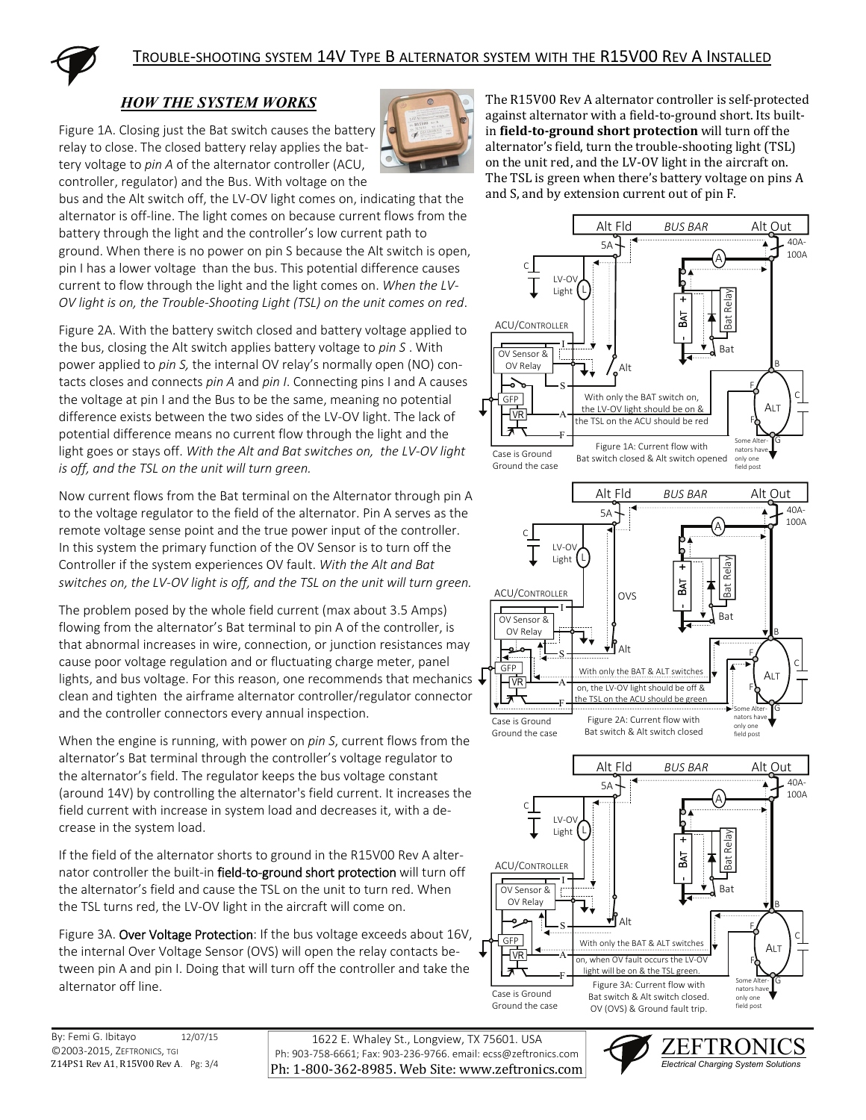

# *HOW THE SYSTEM WORKS*

Figure 1A. Closing just the Bat switch causes the battery relay to close. The closed battery relay applies the bat‐ tery voltage to *pin A* of the alternator controller (ACU, controller, regulator) and the Bus. With voltage on the



The R15V00 Rev A alternator controller is self-protected against alternator with a field-to-ground short. Its builtin **field-to-ground** short protection will turn off the alternator's field, turn the trouble-shooting light (TSL) on the unit red, and the LV-OV light in the aircraft on. The TSL is green when there's battery voltage on pins A and S, and by extension current out of pin F.

bus and the Alt switch off, the LV‐OV light comes on, indicating that the alternator is off‐line. The light comes on because current flows from the battery through the light and the controller's low current path to ground. When there is no power on pin S because the Alt switch is open, pin I has a lower voltage than the bus. This potential difference causes current to flow through the light and the light comes on. *When the LV‐ OV light is on, the Trouble‐Shooting Light (TSL) on the unit comes on red*.

Figure 2A. With the battery switch closed and battery voltage applied to the bus, closing the Alt switch applies battery voltage to *pin S* . With power applied to *pin S,* the internal OV relay's normally open (NO) con‐ tacts closes and connects *pin A* and *pin I*. Connecting pins I and A causes the voltage at pin I and the Bus to be the same, meaning no potential difference exists between the two sides of the LV‐OV light. The lack of potential difference means no current flow through the light and the light goes or stays off. *With the Alt and Bat switches on, the LV‐OV light is off, and the TSL on the unit will turn green.*

Now current flows from the Bat terminal on the Alternator through pin A to the voltage regulator to the field of the alternator. Pin A serves as the remote voltage sense point and the true power input of the controller. In this system the primary function of the OV Sensor is to turn off the Controller if the system experiences OV fault. *With the Alt and Bat switches on, the LV‐OV light is off, and the TSL on the unit will turn green.*

The problem posed by the whole field current (max about 3.5 Amps) flowing from the alternator's Bat terminal to pin A of the controller, is that abnormal increases in wire, connection, or junction resistances may cause poor voltage regulation and or fluctuating charge meter, panel lights, and bus voltage. For this reason, one recommends that mechanics clean and tighten the airframe alternator controller/regulator connector and the controller connectors every annual inspection.

When the engine is running, with power on *pin S*, current flows from the alternator's Bat terminal through the controller's voltage regulator to the alternator's field. The regulator keeps the bus voltage constant (around 14V) by controlling the alternator's field current. It increases the field current with increase in system load and decreases it, with a de‐ crease in the system load.

If the field of the alternator shorts to ground in the R15V00 Rev A alter‐ nator controller the built-in field-to-ground short protection will turn off the alternator's field and cause the TSL on the unit to turn red. When the TSL turns red, the LV‐OV light in the aircraft will come on.

Figure 3A. Over Voltage Protection: If the bus voltage exceeds about 16V, the internal Over Voltage Sensor (OVS) will open the relay contacts be‐ tween pin A and pin I. Doing that will turn off the controller and take the alternator off line.

By: Femi G. Ibitayo 12/07/15 ©2003‐2015, ZEFTRONICS, TGI Z14PS1 Rev A1, R15V00 Rev A. Pg: 3/4

1622 E. Whaley St., Longview, TX 75601. USA Ph: 903‐758‐6661; Fax: 903‐236‐9766. email: ecss@zeftronics.com Ph: 1-800-362-8985. Web Site: www.zeftronics.com